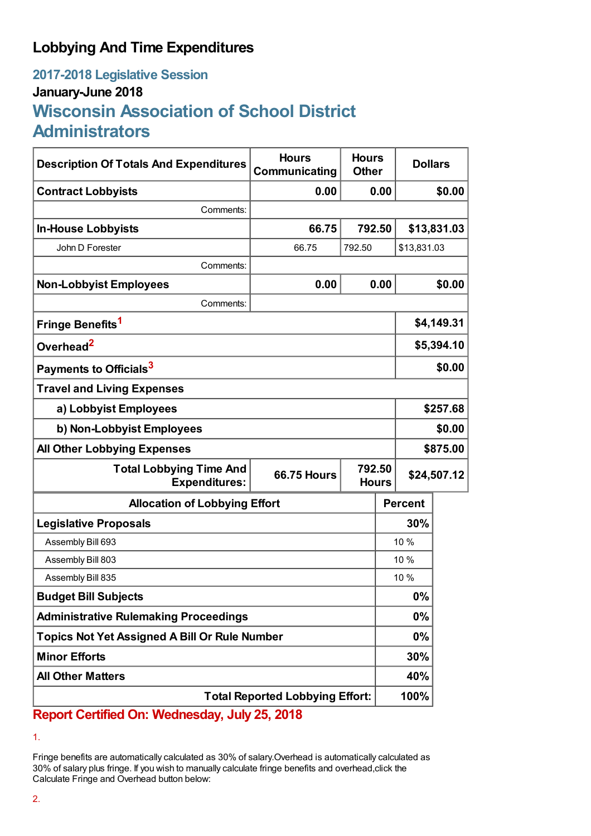## **Lobbying And Time Expenditures**

## **2017-2018 Legislative Session January-June 2018 Wisconsin Association of School District Administrators**

| <b>Description Of Totals And Expenditures</b>          | <b>Hours</b><br>Communicating                | <b>Hours</b><br><b>Other</b> |            | <b>Dollars</b> |             |
|--------------------------------------------------------|----------------------------------------------|------------------------------|------------|----------------|-------------|
| <b>Contract Lobbyists</b>                              | 0.00                                         |                              | 0.00       |                | \$0.00      |
| Comments:                                              |                                              |                              |            |                |             |
| <b>In-House Lobbyists</b>                              | 66.75                                        | 792.50                       |            |                | \$13,831.03 |
| John D Forester                                        | 66.75                                        | 792.50                       |            | \$13,831.03    |             |
| Comments:                                              |                                              |                              |            |                |             |
| <b>Non-Lobbyist Employees</b>                          | 0.00                                         |                              | 0.00       |                | \$0.00      |
| Comments:                                              |                                              |                              |            |                |             |
| Fringe Benefits <sup>1</sup>                           |                                              |                              | \$4,149.31 |                |             |
| Overhead <sup>2</sup>                                  |                                              |                              |            | \$5,394.10     |             |
| Payments to Officials <sup>3</sup>                     |                                              |                              |            | \$0.00         |             |
| <b>Travel and Living Expenses</b>                      |                                              |                              |            |                |             |
| a) Lobbyist Employees                                  |                                              |                              |            | \$257.68       |             |
| b) Non-Lobbyist Employees                              |                                              |                              |            | \$0.00         |             |
| <b>All Other Lobbying Expenses</b>                     |                                              |                              |            | \$875.00       |             |
| <b>Total Lobbying Time And</b><br><b>Expenditures:</b> | 792.50<br><b>66.75 Hours</b><br><b>Hours</b> |                              |            | \$24,507.12    |             |
| <b>Allocation of Lobbying Effort</b>                   |                                              |                              |            | <b>Percent</b> |             |
| <b>Legislative Proposals</b>                           |                                              |                              | 30%        |                |             |
| Assembly Bill 693                                      |                                              |                              | 10 %       |                |             |
| Assembly Bill 803                                      |                                              |                              | 10 %       |                |             |
| Assembly Bill 835                                      |                                              |                              | 10 %       |                |             |
| <b>Budget Bill Subjects</b>                            |                                              |                              | $0\%$      |                |             |
| <b>Administrative Rulemaking Proceedings</b>           |                                              |                              | $0\%$      |                |             |
| <b>Topics Not Yet Assigned A Bill Or Rule Number</b>   |                                              |                              | $0\%$      |                |             |
| <b>Minor Efforts</b>                                   |                                              |                              |            | 30%            |             |
| <b>All Other Matters</b>                               |                                              |                              | 40%        |                |             |
| <b>Total Reported Lobbying Effort:</b>                 |                                              |                              |            | 100%           |             |

**Report Certified On: Wednesday, July 25, 2018**

1.

Fringe benefits are automatically calculated as 30% of salary.Overhead is automatically calculated as 30% of salary plus fringe. If you wish to manually calculate fringe benefits and overhead,click the Calculate Fringe and Overhead button below: